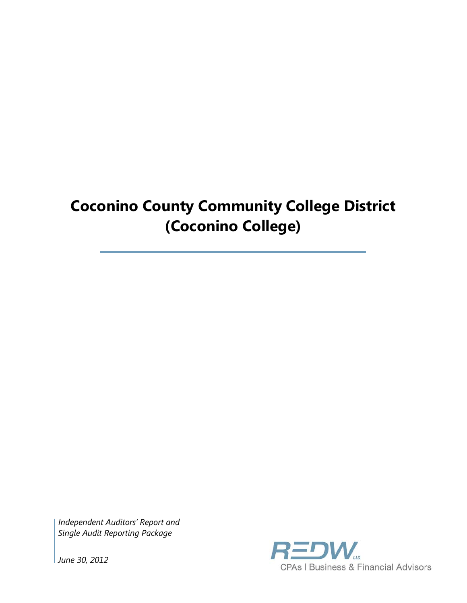# **Coconino County Community College District (Coconino College)**

*Independent Auditors' Report and Single Audit Reporting Package*



*June 30, 2012*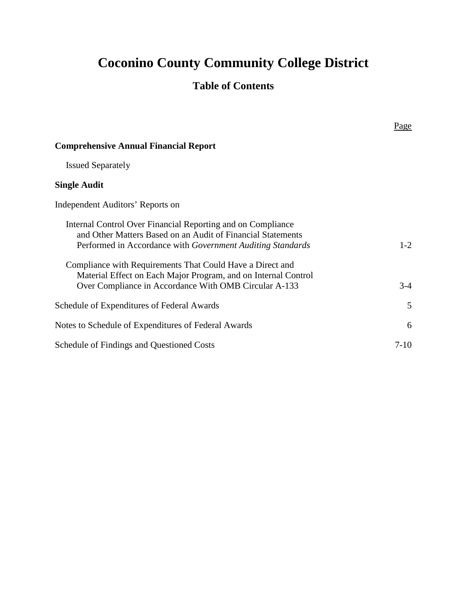# **Coconino County Community College District**

## **Table of Contents**

|                                                                                                                                                                                                 | Page    |
|-------------------------------------------------------------------------------------------------------------------------------------------------------------------------------------------------|---------|
| <b>Comprehensive Annual Financial Report</b>                                                                                                                                                    |         |
| <b>Issued Separately</b>                                                                                                                                                                        |         |
| <b>Single Audit</b>                                                                                                                                                                             |         |
| Independent Auditors' Reports on                                                                                                                                                                |         |
| Internal Control Over Financial Reporting and on Compliance<br>and Other Matters Based on an Audit of Financial Statements<br>Performed in Accordance with <i>Government Auditing Standards</i> | $1 - 2$ |
| Compliance with Requirements That Could Have a Direct and<br>Material Effect on Each Major Program, and on Internal Control<br>Over Compliance in Accordance With OMB Circular A-133            | $3-4$   |
| Schedule of Expenditures of Federal Awards                                                                                                                                                      | 5       |
| Notes to Schedule of Expenditures of Federal Awards                                                                                                                                             | 6       |
| Schedule of Findings and Questioned Costs                                                                                                                                                       | $7-10$  |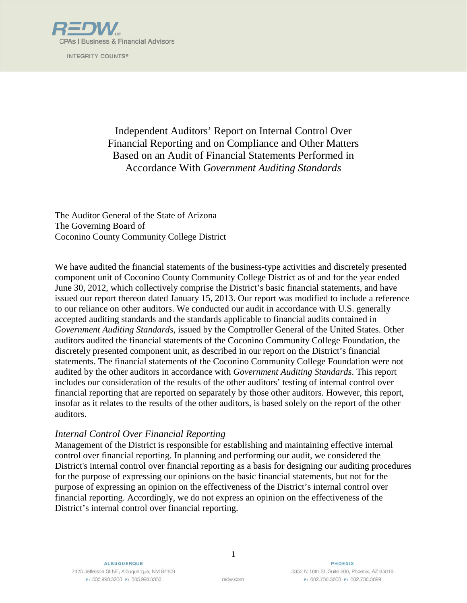

INTEGRITY COUNTS®

Independent Auditors' Report on Internal Control Over Financial Reporting and on Compliance and Other Matters Based on an Audit of Financial Statements Performed in Accordance With *Government Auditing Standards*

The Auditor General of the State of Arizona The Governing Board of Coconino County Community College District

We have audited the financial statements of the business-type activities and discretely presented component unit of Coconino County Community College District as of and for the year ended June 30, 2012, which collectively comprise the District's basic financial statements, and have issued our report thereon dated January 15, 2013. Our report was modified to include a reference to our reliance on other auditors. We conducted our audit in accordance with U.S. generally accepted auditing standards and the standards applicable to financial audits contained in *Government Auditing Standards*, issued by the Comptroller General of the United States. Other auditors audited the financial statements of the Coconino Community College Foundation, the discretely presented component unit, as described in our report on the District's financial statements. The financial statements of the Coconino Community College Foundation were not audited by the other auditors in accordance with *Government Auditing Standards*. This report includes our consideration of the results of the other auditors' testing of internal control over financial reporting that are reported on separately by those other auditors. However, this report, insofar as it relates to the results of the other auditors, is based solely on the report of the other auditors.

#### *Internal Control Over Financial Reporting*

Management of the District is responsible for establishing and maintaining effective internal control over financial reporting. In planning and performing our audit, we considered the District's internal control over financial reporting as a basis for designing our auditing procedures for the purpose of expressing our opinions on the basic financial statements, but not for the purpose of expressing an opinion on the effectiveness of the District's internal control over financial reporting. Accordingly, we do not express an opinion on the effectiveness of the District's internal control over financial reporting.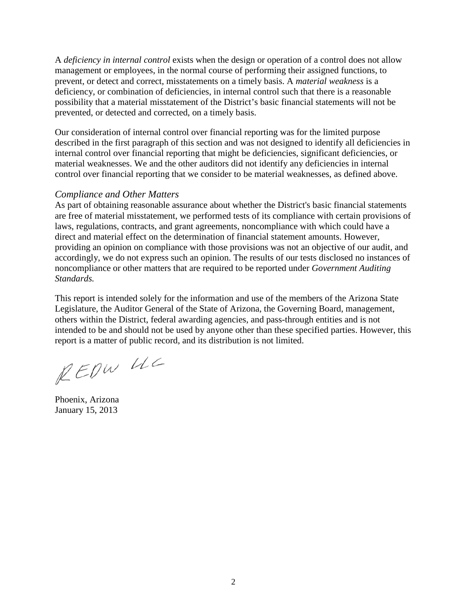A *deficiency in internal control* exists when the design or operation of a control does not allow management or employees, in the normal course of performing their assigned functions, to prevent, or detect and correct, misstatements on a timely basis. A *material weakness* is a deficiency, or combination of deficiencies, in internal control such that there is a reasonable possibility that a material misstatement of the District's basic financial statements will not be prevented, or detected and corrected, on a timely basis.

Our consideration of internal control over financial reporting was for the limited purpose described in the first paragraph of this section and was not designed to identify all deficiencies in internal control over financial reporting that might be deficiencies, significant deficiencies, or material weaknesses. We and the other auditors did not identify any deficiencies in internal control over financial reporting that we consider to be material weaknesses, as defined above.

#### *Compliance and Other Matters*

As part of obtaining reasonable assurance about whether the District's basic financial statements are free of material misstatement, we performed tests of its compliance with certain provisions of laws, regulations, contracts, and grant agreements, noncompliance with which could have a direct and material effect on the determination of financial statement amounts. However, providing an opinion on compliance with those provisions was not an objective of our audit, and accordingly, we do not express such an opinion. The results of our tests disclosed no instances of noncompliance or other matters that are required to be reported under *Government Auditing Standards.*

This report is intended solely for the information and use of the members of the Arizona State Legislature, the Auditor General of the State of Arizona, the Governing Board, management, others within the District, federal awarding agencies, and pass-through entities and is not intended to be and should not be used by anyone other than these specified parties. However, this report is a matter of public record, and its distribution is not limited.

REDW UC

Phoenix, Arizona January 15, 2013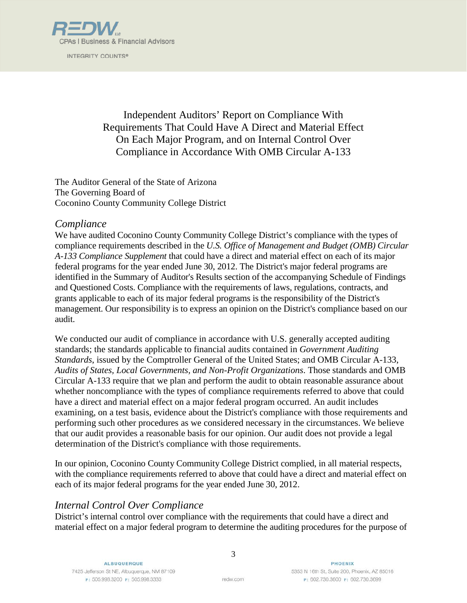

INTEGRITY COUNTS®

Independent Auditors' Report on Compliance With Requirements That Could Have A Direct and Material Effect On Each Major Program, and on Internal Control Over Compliance in Accordance With OMB Circular A-133

The Auditor General of the State of Arizona The Governing Board of Coconino County Community College District

#### *Compliance*

We have audited Coconino County Community College District's compliance with the types of compliance requirements described in the *U.S. Office of Management and Budget (OMB) Circular A-133 Compliance Supplement* that could have a direct and material effect on each of its major federal programs for the year ended June 30, 2012. The District's major federal programs are identified in the Summary of Auditor's Results section of the accompanying Schedule of Findings and Questioned Costs. Compliance with the requirements of laws, regulations, contracts, and grants applicable to each of its major federal programs is the responsibility of the District's management. Our responsibility is to express an opinion on the District's compliance based on our audit.

We conducted our audit of compliance in accordance with U.S. generally accepted auditing standards; the standards applicable to financial audits contained in *Government Auditing Standards*, issued by the Comptroller General of the United States; and OMB Circular A-133, *Audits of States, Local Governments, and Non-Profit Organizations*. Those standards and OMB Circular A-133 require that we plan and perform the audit to obtain reasonable assurance about whether noncompliance with the types of compliance requirements referred to above that could have a direct and material effect on a major federal program occurred. An audit includes examining, on a test basis, evidence about the District's compliance with those requirements and performing such other procedures as we considered necessary in the circumstances. We believe that our audit provides a reasonable basis for our opinion. Our audit does not provide a legal determination of the District's compliance with those requirements.

In our opinion, Coconino County Community College District complied, in all material respects, with the compliance requirements referred to above that could have a direct and material effect on each of its major federal programs for the year ended June 30, 2012.

#### *Internal Control Over Compliance*

District's internal control over compliance with the requirements that could have a direct and material effect on a major federal program to determine the auditing procedures for the purpose of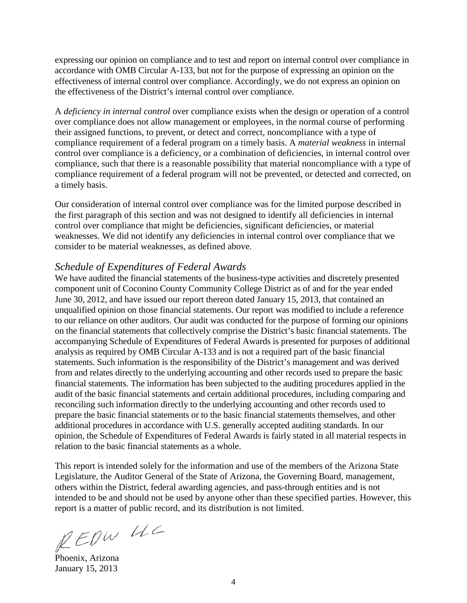expressing our opinion on compliance and to test and report on internal control over compliance in accordance with OMB Circular A-133, but not for the purpose of expressing an opinion on the effectiveness of internal control over compliance. Accordingly, we do not express an opinion on the effectiveness of the District's internal control over compliance.

A *deficiency in internal control* over compliance exists when the design or operation of a control over compliance does not allow management or employees, in the normal course of performing their assigned functions, to prevent, or detect and correct, noncompliance with a type of compliance requirement of a federal program on a timely basis. A *material weakness* in internal control over compliance is a deficiency, or a combination of deficiencies, in internal control over compliance, such that there is a reasonable possibility that material noncompliance with a type of compliance requirement of a federal program will not be prevented, or detected and corrected, on a timely basis.

Our consideration of internal control over compliance was for the limited purpose described in the first paragraph of this section and was not designed to identify all deficiencies in internal control over compliance that might be deficiencies, significant deficiencies, or material weaknesses. We did not identify any deficiencies in internal control over compliance that we consider to be material weaknesses, as defined above.

#### *Schedule of Expenditures of Federal Awards*

We have audited the financial statements of the business-type activities and discretely presented component unit of Coconino County Community College District as of and for the year ended June 30, 2012, and have issued our report thereon dated January 15, 2013, that contained an unqualified opinion on those financial statements. Our report was modified to include a reference to our reliance on other auditors. Our audit was conducted for the purpose of forming our opinions on the financial statements that collectively comprise the District's basic financial statements. The accompanying Schedule of Expenditures of Federal Awards is presented for purposes of additional analysis as required by OMB Circular A-133 and is not a required part of the basic financial statements. Such information is the responsibility of the District's management and was derived from and relates directly to the underlying accounting and other records used to prepare the basic financial statements. The information has been subjected to the auditing procedures applied in the audit of the basic financial statements and certain additional procedures, including comparing and reconciling such information directly to the underlying accounting and other records used to prepare the basic financial statements or to the basic financial statements themselves, and other additional procedures in accordance with U.S. generally accepted auditing standards. In our opinion, the Schedule of Expenditures of Federal Awards is fairly stated in all material respects in relation to the basic financial statements as a whole.

This report is intended solely for the information and use of the members of the Arizona State Legislature, the Auditor General of the State of Arizona, the Governing Board, management, others within the District, federal awarding agencies, and pass-through entities and is not intended to be and should not be used by anyone other than these specified parties. However, this report is a matter of public record, and its distribution is not limited.

REDW UC

Phoenix, Arizona January 15, 2013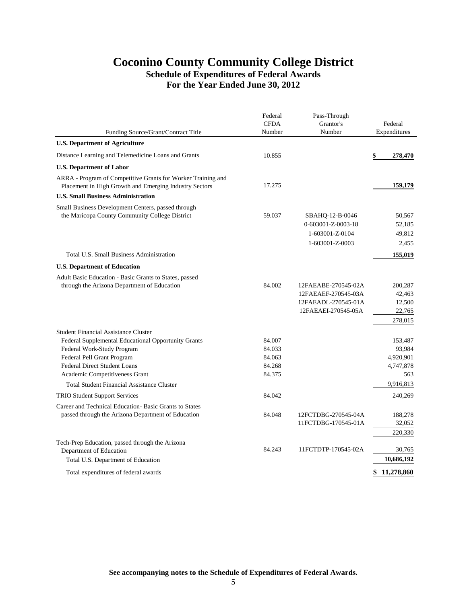### **Coconino County Community College District Schedule of Expenditures of Federal Awards For the Year Ended June 30, 2012**

|                                                                                                                        | Federal<br><b>CFDA</b> | Pass-Through<br>Grantor's | Federal           |
|------------------------------------------------------------------------------------------------------------------------|------------------------|---------------------------|-------------------|
| Funding Source/Grant/Contract Title                                                                                    | Number                 | Number                    | Expenditures      |
| <b>U.S. Department of Agriculture</b>                                                                                  |                        |                           |                   |
| Distance Learning and Telemedicine Loans and Grants                                                                    | 10.855                 |                           | \$<br>278,470     |
| <b>U.S. Department of Labor</b>                                                                                        |                        |                           |                   |
| ARRA - Program of Competitive Grants for Worker Training and<br>Placement in High Growth and Emerging Industry Sectors | 17.275                 |                           | 159,179           |
| <b>U.S. Small Business Administration</b>                                                                              |                        |                           |                   |
| Small Business Development Centers, passed through                                                                     |                        |                           |                   |
| the Maricopa County Community College District                                                                         | 59.037                 | SBAHQ-12-B-0046           | 50,567            |
|                                                                                                                        |                        | 0-603001-Z-0003-18        | 52,185            |
|                                                                                                                        |                        | 1-603001-Z-0104           | 49,812            |
|                                                                                                                        |                        | 1-603001-Z-0003           | 2,455             |
| Total U.S. Small Business Administration                                                                               |                        |                           | 155,019           |
| <b>U.S. Department of Education</b>                                                                                    |                        |                           |                   |
| Adult Basic Education - Basic Grants to States, passed                                                                 |                        |                           |                   |
| through the Arizona Department of Education                                                                            | 84.002                 | 12FAEABE-270545-02A       | 200,287           |
|                                                                                                                        |                        | 12FAEAEF-270545-03A       | 42,463            |
|                                                                                                                        |                        | 12FAEADL-270545-01A       | 12,500            |
|                                                                                                                        |                        | 12FAEAEI-270545-05A       | 22,765            |
|                                                                                                                        |                        |                           | 278,015           |
| <b>Student Financial Assistance Cluster</b>                                                                            |                        |                           |                   |
| Federal Supplemental Educational Opportunity Grants<br>Federal Work-Study Program                                      | 84.007<br>84.033       |                           | 153,487<br>93,984 |
| Federal Pell Grant Program                                                                                             | 84.063                 |                           | 4,920,901         |
| <b>Federal Direct Student Loans</b>                                                                                    | 84.268                 |                           | 4,747,878         |
| Academic Competitiveness Grant                                                                                         | 84.375                 |                           | 563               |
| <b>Total Student Financial Assistance Cluster</b>                                                                      |                        |                           | 9,916,813         |
| <b>TRIO Student Support Services</b>                                                                                   | 84.042                 |                           | 240,269           |
| Career and Technical Education-Basic Grants to States                                                                  |                        |                           |                   |
| passed through the Arizona Department of Education                                                                     | 84.048                 | 12FCTDBG-270545-04A       | 188,278           |
|                                                                                                                        |                        | 11FCTDBG-170545-01A       | 32,052            |
|                                                                                                                        |                        |                           | 220,330           |
| Tech-Prep Education, passed through the Arizona                                                                        |                        |                           |                   |
| Department of Education                                                                                                | 84.243                 | 11FCTDTP-170545-02A       | 30,765            |
| Total U.S. Department of Education                                                                                     |                        |                           | 10,686,192        |
| Total expenditures of federal awards                                                                                   |                        |                           | \$<br>11,278,860  |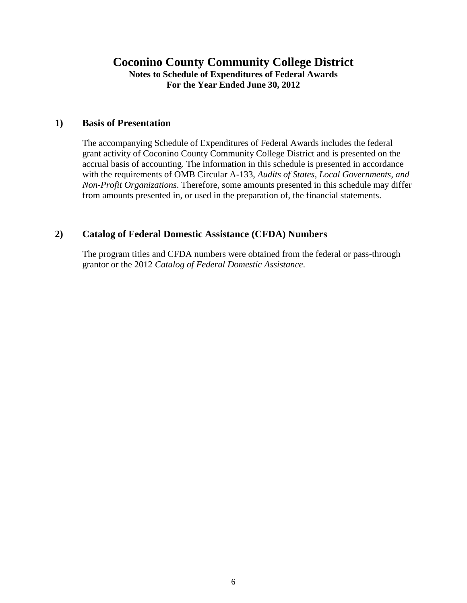## **Coconino County Community College District Notes to Schedule of Expenditures of Federal Awards For the Year Ended June 30, 2012**

#### **1) Basis of Presentation**

The accompanying Schedule of Expenditures of Federal Awards includes the federal grant activity of Coconino County Community College District and is presented on the accrual basis of accounting. The information in this schedule is presented in accordance with the requirements of OMB Circular A-133, *Audits of States, Local Governments, and Non-Profit Organizations*. Therefore, some amounts presented in this schedule may differ from amounts presented in, or used in the preparation of, the financial statements.

#### **2) Catalog of Federal Domestic Assistance (CFDA) Numbers**

The program titles and CFDA numbers were obtained from the federal or pass-through grantor or the 2012 *Catalog of Federal Domestic Assistance*.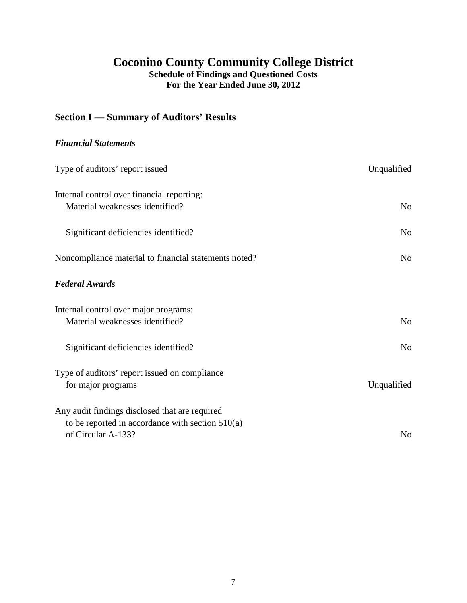## **Coconino County Community College District Schedule of Findings and Questioned Costs**

**For the Year Ended June 30, 2012**

## **Section I — Summary of Auditors' Results**

### *Financial Statements*

| Type of auditors' report issued                                                                                            | Unqualified    |
|----------------------------------------------------------------------------------------------------------------------------|----------------|
| Internal control over financial reporting:<br>Material weaknesses identified?                                              | N <sub>0</sub> |
| Significant deficiencies identified?                                                                                       | N <sub>o</sub> |
| Noncompliance material to financial statements noted?                                                                      | N <sub>o</sub> |
| <b>Federal Awards</b>                                                                                                      |                |
| Internal control over major programs:<br>Material weaknesses identified?                                                   | N <sub>o</sub> |
| Significant deficiencies identified?                                                                                       | No             |
| Type of auditors' report issued on compliance<br>for major programs                                                        | Unqualified    |
| Any audit findings disclosed that are required<br>to be reported in accordance with section $510(a)$<br>of Circular A-133? | N <sub>o</sub> |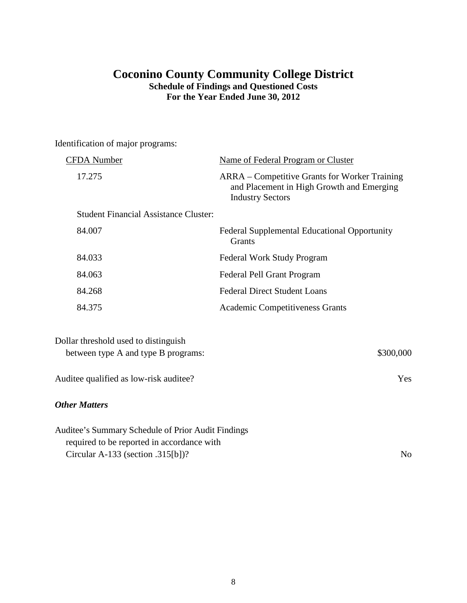## **Coconino County Community College District Schedule of Findings and Questioned Costs For the Year Ended June 30, 2012**

Identification of major programs:

| CFDA Number                                                                                      | Name of Federal Program or Cluster                                                                                    |
|--------------------------------------------------------------------------------------------------|-----------------------------------------------------------------------------------------------------------------------|
| 17.275                                                                                           | ARRA – Competitive Grants for Worker Training<br>and Placement in High Growth and Emerging<br><b>Industry Sectors</b> |
| <b>Student Financial Assistance Cluster:</b>                                                     |                                                                                                                       |
| 84.007                                                                                           | <b>Federal Supplemental Educational Opportunity</b><br>Grants                                                         |
| 84.033                                                                                           | Federal Work Study Program                                                                                            |
| 84.063                                                                                           | Federal Pell Grant Program                                                                                            |
| 84.268                                                                                           | <b>Federal Direct Student Loans</b>                                                                                   |
| 84.375                                                                                           | <b>Academic Competitiveness Grants</b>                                                                                |
| Dollar threshold used to distinguish<br>between type A and type B programs:                      | \$300,000                                                                                                             |
| Auditee qualified as low-risk auditee?                                                           | Yes                                                                                                                   |
| <b>Other Matters</b>                                                                             |                                                                                                                       |
| Auditee's Summary Schedule of Prior Audit Findings<br>required to be reported in accordance with |                                                                                                                       |

Circular A-133 (section .315[b])? No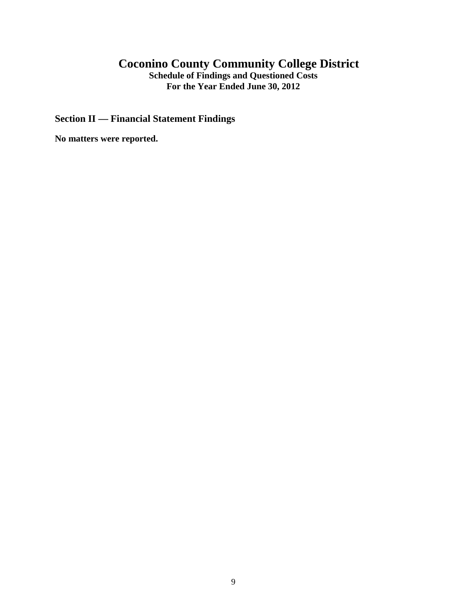## **Coconino County Community College District**

**Schedule of Findings and Questioned Costs For the Year Ended June 30, 2012**

**Section II — Financial Statement Findings**

**No matters were reported.**